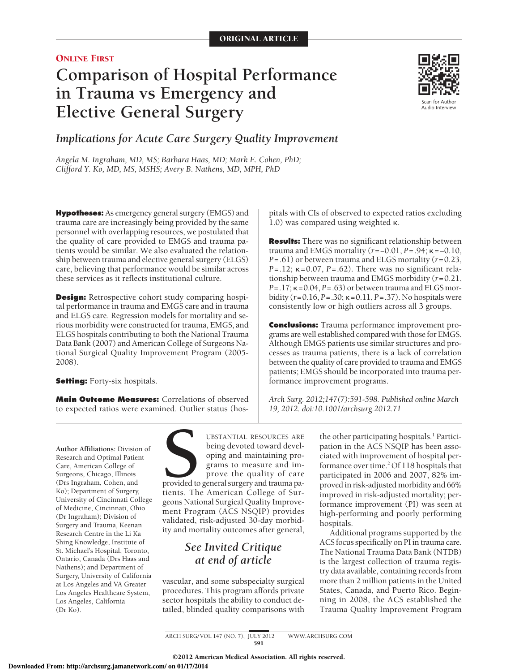#### **ONLINE FIRST**

## **Comparison of Hospital Performance in Trauma vs Emergency and Elective General Surgery**

*Implications for Acute Care Surgery Quality Improvement*

*Angela M. Ingraham, MD, MS; Barbara Haas, MD; Mark E. Cohen, PhD; Clifford Y. Ko, MD, MS, MSHS; Avery B. Nathens, MD, MPH, PhD*

**Hypotheses:** As emergency general surgery (EMGS) and trauma care are increasingly being provided by the same personnel with overlapping resources, we postulated that the quality of care provided to EMGS and trauma patients would be similar. We also evaluated the relationship between trauma and elective general surgery (ELGS) care, believing that performance would be similar across these services as it reflects institutional culture.

**Design:** Retrospective cohort study comparing hospital performance in trauma and EMGS care and in trauma and ELGS care. Regression models for mortality and serious morbidity were constructed for trauma, EMGS, and ELGS hospitals contributing to both the National Trauma Data Bank (2007) and American College of Surgeons National Surgical Quality Improvement Program (2005- 2008).

**Setting:** Forty-six hospitals.

**Main Outcome Measures:** Correlations of observed to expected ratios were examined. Outlier status (hospitals with CIs of observed to expected ratios excluding 1.0) was compared using weighted  $\kappa$ .

**Results:** There was no significant relationship between trauma and EMGS mortality  $(r = -0.01, P = .94; \kappa = -0.10,$ *P*=.61) or between trauma and ELGS mortality (*r*=0.23,  $P = 0.12$ ;  $\kappa = 0.07$ ,  $P = 0.62$ ). There was no significant relationship between trauma and EMGS morbidity (*r*=0.21,  $P = 0.17$ ;  $\kappa = 0.04$ ,  $P = 0.63$ ) or between trauma and ELGS morbidity  $(r=0.16, P=.30; \kappa=0.11, P=.37)$ . No hospitals were consistently low or high outliers across all 3 groups.

**Conclusions:** Trauma performance improvement programs are well established compared with those for EMGS. Although EMGS patients use similar structures and processes as trauma patients, there is a lack of correlation between the quality of care provided to trauma and EMGS patients; EMGS should be incorporated into trauma performance improvement programs.

*Arch Surg. 2012;147(7):591-598. Published online March 19, 2012. doi:10.1001/archsurg.2012.71*

**Author Affiliations:** Division of Research and Optimal Patient Care, American College of Surgeons, Chicago, Illinois (Drs Ingraham, Cohen, and Ko); Department of Surgery, University of Cincinnati College of Medicine, Cincinnati, Ohio (Dr Ingraham); Division of Surgery and Trauma, Keenan Research Centre in the Li Ka Shing Knowledge, Institute of St. Michael's Hospital, Toronto, Ontario, Canada (Drs Haas and Nathens); and Department of Surgery, University of California at Los Angeles and VA Greater Los Angeles Healthcare System, Los Angeles, California (Dr Ko).

**S**<br>provided to<br>tients. The UBSTANTIAL RESOURCES ARE being devoted toward developing and maintaining programs to measure and improve the quality of care provided to general surgery and trauma patients. The American College of Surgeons National Surgical Quality Improvement Program (ACS NSQIP) provides validated, risk-adjusted 30-day morbidity and mortality outcomes after general,

### *See Invited Critique at end of article*

vascular, and some subspecialty surgical procedures. This program affords private sector hospitals the ability to conduct detailed, blinded quality comparisons with

the other participating hospitals.<sup>1</sup> Participation in the ACS NSQIP has been associated with improvement of hospital performance over time.<sup>2</sup> Of 118 hospitals that participated in 2006 and 2007, 82% improved in risk-adjusted morbidity and 66% improved in risk-adjusted mortality; performance improvement (PI) was seen at high-performing and poorly performing hospitals.

Additional programs supported by the ACS focus specifically on PI in trauma care. The National Trauma Data Bank (NTDB) is the largest collection of trauma registry data available, containing records from more than 2 million patients in the United States, Canada, and Puerto Rico. Beginning in 2008, the ACS established the Trauma Quality Improvement Program



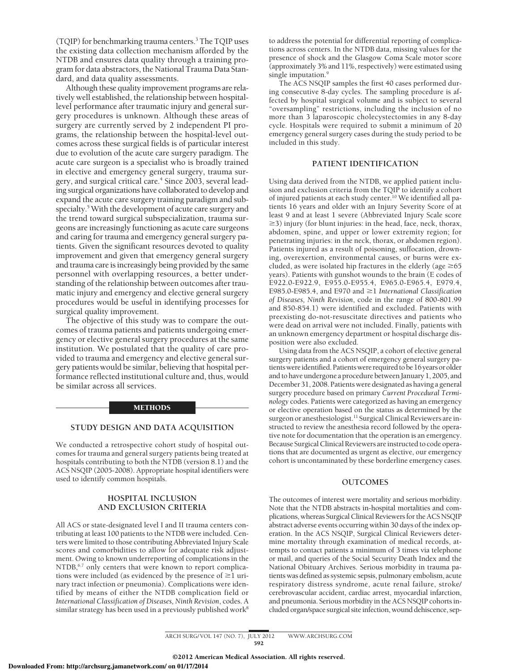(TQIP) for benchmarking trauma centers.<sup>3</sup> The TQIP uses the existing data collection mechanism afforded by the NTDB and ensures data quality through a training program for data abstractors, the National Trauma Data Standard, and data quality assessments.

Although these quality improvement programs are relatively well established, the relationship between hospitallevel performance after traumatic injury and general surgery procedures is unknown. Although these areas of surgery are currently served by 2 independent PI programs, the relationship between the hospital-level outcomes across these surgical fields is of particular interest due to evolution of the acute care surgery paradigm. The acute care surgeon is a specialist who is broadly trained in elective and emergency general surgery, trauma surgery, and surgical critical care.<sup>4</sup> Since 2003, several leading surgical organizations have collaborated to develop and expand the acute care surgery training paradigm and subspecialty.<sup>5</sup> With the development of acute care surgery and the trend toward surgical subspecialization, trauma surgeons are increasingly functioning as acute care surgeons and caring for trauma and emergency general surgery patients. Given the significant resources devoted to quality improvement and given that emergency general surgery and trauma care is increasingly being provided by the same personnel with overlapping resources, a better understanding of the relationship between outcomes after traumatic injury and emergency and elective general surgery procedures would be useful in identifying processes for surgical quality improvement.

The objective of this study was to compare the outcomes of trauma patients and patients undergoing emergency or elective general surgery procedures at the same institution. We postulated that the quality of care provided to trauma and emergency and elective general surgery patients would be similar, believing that hospital performance reflected institutional culture and, thus, would be similar across all services.

#### METHODS

#### **STUDY DESIGN AND DATA ACQUISITION**

We conducted a retrospective cohort study of hospital outcomes for trauma and general surgery patients being treated at hospitals contributing to both the NTDB (version 8.1) and the ACS NSQIP (2005-2008). Appropriate hospital identifiers were used to identify common hospitals.

#### **HOSPITAL INCLUSION AND EXCLUSION CRITERIA**

All ACS or state-designated level I and II trauma centers contributing at least 100 patients to the NTDB were included. Centers were limited to those contributing Abbreviated Injury Scale scores and comorbidities to allow for adequate risk adjustment. Owing to known underreporting of complications in the NTDB,<sup>6,7</sup> only centers that were known to report complications were included (as evidenced by the presence of  $\geq 1$  urinary tract infection or pneumonia). Complications were identified by means of either the NTDB complication field or *International Classification of Diseases, Ninth Revision*, codes. A similar strategy has been used in a previously published work<sup>8</sup>

to address the potential for differential reporting of complications across centers. In the NTDB data, missing values for the presence of shock and the Glasgow Coma Scale motor score (approximately 3% and 11%, respectively) were estimated using single imputation.<sup>9</sup>

The ACS NSQIP samples the first 40 cases performed during consecutive 8-day cycles. The sampling procedure is affected by hospital surgical volume and is subject to several "oversampling" restrictions, including the inclusion of no more than 3 laparoscopic cholecystectomies in any 8-day cycle. Hospitals were required to submit a minimum of 20 emergency general surgery cases during the study period to be included in this study.

#### **PATIENT IDENTIFICATION**

Using data derived from the NTDB, we applied patient inclusion and exclusion criteria from the TQIP to identify a cohort of injured patients at each study center.<sup>10</sup> We identified all patients 16 years and older with an Injury Severity Score of at least 9 and at least 1 severe (Abbreviated Injury Scale score  $\geq$ 3) injury (for blunt injuries: in the head, face, neck, thorax, abdomen, spine, and upper or lower extremity region; for penetrating injuries: in the neck, thorax, or abdomen region). Patients injured as a result of poisoning, suffocation, drowning, overexertion, environmental causes, or burns were excluded, as were isolated hip fractures in the elderly (age  $\geq 65$ years). Patients with gunshot wounds to the brain (E codes of E922.0-E922.9, E955.0-E955.4, E965.0-E965.4, E979.4, E985.0-E985.4, and E970 and 1 *International Classification of Diseases, Ninth Revision*, code in the range of 800-801.99 and 850-854.1) were identified and excluded. Patients with preexisting do-not-resuscitate directives and patients who were dead on arrival were not included. Finally, patients with an unknown emergency department or hospital discharge disposition were also excluded.

Using data from the ACS NSQIP, a cohort of elective general surgery patients and a cohort of emergency general surgery patients were identified. Patients were required to be 16 years or older and to have undergone a procedure between January 1, 2005, and December 31, 2008. Patients were designated as having a general surgery procedure based on primary *Current Procedural Terminology* codes. Patients were categorized as having an emergency or elective operation based on the status as determined by the surgeon or anesthesiologist.<sup>11</sup> Surgical Clinical Reviewers are instructed to review the anesthesia record followed by the operative note for documentation that the operation is an emergency. Because Surgical Clinical Reviewers are instructed to code operations that are documented as urgent as elective, our emergency cohort is uncontaminated by these borderline emergency cases.

#### **OUTCOMES**

The outcomes of interest were mortality and serious morbidity. Note that the NTDB abstracts in-hospital mortalities and complications, whereas Surgical Clinical Reviewers for the ACS NSQIP abstract adverse events occurring within 30 days of the index operation. In the ACS NSQIP, Surgical Clinical Reviewers determine mortality through examination of medical records, attempts to contact patients a minimum of 3 times via telephone or mail, and queries of the Social Security Death Index and the National Obituary Archives. Serious morbidity in trauma patients was defined as systemic sepsis, pulmonary embolism, acute respiratory distress syndrome, acute renal failure, stroke/ cerebrovascular accident, cardiac arrest, myocardial infarction, and pneumonia. Serious morbidity in the ACS NSQIP cohorts included organ/space surgical site infection, wound dehiscence, sep-

ARCH SURG/ VOL 147 (NO. 7), JULY 2012 WWW.ARCHSURG.COM 592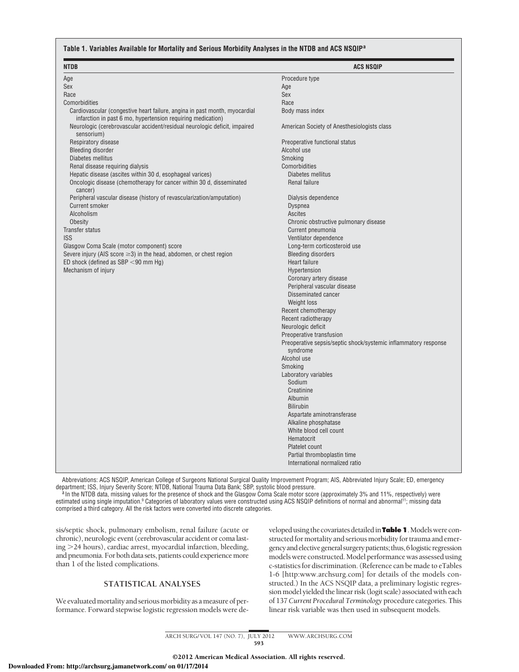#### **Table 1. Variables Available for Mortality and Serious Morbidity Analyses in the NTDB and ACS NSQIP<sup>a</sup>**

| <b>NTDB</b>                                                                                                                               | <b>ACS NSQIP</b>                                                            |
|-------------------------------------------------------------------------------------------------------------------------------------------|-----------------------------------------------------------------------------|
| Age                                                                                                                                       | Procedure type                                                              |
| Sex                                                                                                                                       | Age                                                                         |
| Race                                                                                                                                      | Sex                                                                         |
| Comorbidities                                                                                                                             | Race                                                                        |
| Cardiovascular (congestive heart failure, angina in past month, myocardial<br>infarction in past 6 mo, hypertension requiring medication) | Body mass index                                                             |
| Neurologic (cerebrovascular accident/residual neurologic deficit, impaired<br>sensorium)                                                  | American Society of Anesthesiologists class                                 |
| Respiratory disease                                                                                                                       | Preoperative functional status                                              |
| <b>Bleeding disorder</b>                                                                                                                  | Alcohol use                                                                 |
| Diabetes mellitus                                                                                                                         | Smoking                                                                     |
| Renal disease requiring dialysis                                                                                                          | Comorbidities                                                               |
| Hepatic disease (ascites within 30 d, esophageal varices)                                                                                 | Diabetes mellitus                                                           |
| Oncologic disease (chemotherapy for cancer within 30 d, disseminated<br>cancer)                                                           | Renal failure                                                               |
| Peripheral vascular disease (history of revascularization/amputation)                                                                     | Dialysis dependence                                                         |
| <b>Current smoker</b>                                                                                                                     | Dyspnea                                                                     |
| Alcoholism                                                                                                                                | Ascites                                                                     |
| Obesity                                                                                                                                   | Chronic obstructive pulmonary disease                                       |
| <b>Transfer status</b>                                                                                                                    | Current pneumonia                                                           |
| <b>ISS</b>                                                                                                                                | Ventilator dependence                                                       |
| Glasgow Coma Scale (motor component) score                                                                                                | Long-term corticosteroid use                                                |
| Severe injury (AIS score $\geq$ 3) in the head, abdomen, or chest region                                                                  | <b>Bleeding disorders</b>                                                   |
| ED shock (defined as SBP $<$ 90 mm Hg)                                                                                                    | Heart failure                                                               |
| Mechanism of injury                                                                                                                       | Hypertension                                                                |
|                                                                                                                                           | Coronary artery disease                                                     |
|                                                                                                                                           | Peripheral vascular disease                                                 |
|                                                                                                                                           | Disseminated cancer                                                         |
|                                                                                                                                           | Weight loss                                                                 |
|                                                                                                                                           | Recent chemotherapy                                                         |
|                                                                                                                                           | Recent radiotherapy                                                         |
|                                                                                                                                           | Neurologic deficit                                                          |
|                                                                                                                                           |                                                                             |
|                                                                                                                                           | Preoperative transfusion                                                    |
|                                                                                                                                           | Preoperative sepsis/septic shock/systemic inflammatory response<br>svndrome |
|                                                                                                                                           | Alcohol use                                                                 |
|                                                                                                                                           | Smoking                                                                     |
|                                                                                                                                           | Laboratory variables                                                        |
|                                                                                                                                           | Sodium                                                                      |
|                                                                                                                                           | Creatinine                                                                  |
|                                                                                                                                           | Albumin                                                                     |
|                                                                                                                                           | <b>Bilirubin</b>                                                            |
|                                                                                                                                           | Aspartate aminotransferase                                                  |
|                                                                                                                                           | Alkaline phosphatase                                                        |
|                                                                                                                                           | White blood cell count                                                      |
|                                                                                                                                           | Hematocrit                                                                  |
|                                                                                                                                           | Platelet count                                                              |
|                                                                                                                                           | Partial thromboplastin time                                                 |
|                                                                                                                                           |                                                                             |
|                                                                                                                                           | International normalized ratio                                              |

Abbreviations: ACS NSQIP, American College of Surgeons National Surgical Quality Improvement Program; AIS, Abbreviated Injury Scale; ED, emergency department; ISS, Injury Severity Score; NTDB, National Trauma Data Bank; SBP, systolic blood pressure.

<sup>a</sup> In the NTDB data, missing values for the presence of shock and the Glasgow Coma Scale motor score (approximately 3% and 11%, respectively) were estimated using single imputation.<sup>9</sup> Categories of laboratory values were constructed using ACS NSQIP definitions of normal and abnormal<sup>11</sup>; missing data comprised a third category. All the risk factors were converted into discrete categories.

sis/septic shock, pulmonary embolism, renal failure (acute or chronic), neurologic event (cerebrovascular accident or coma lasting 24 hours), cardiac arrest, myocardial infarction, bleeding, and pneumonia. For both data sets, patients could experience more than 1 of the listed complications.

#### **STATISTICAL ANALYSES**

We evaluated mortality and serious morbidity as a measure of performance. Forward stepwise logistic regression models were developed using the covariates detailed in **Table 1**. Models were constructed for mortality and serious morbidity for trauma and emergencyandelectivegeneralsurgerypatients; thus,6logisticregression models were constructed.Model performance was assessed using c-statistics for discrimination. (Reference can be made to eTables 1-6 [http:www.archsurg.com] for details of the models constructed.) In the ACS NSQIP data, a preliminary logistic regression model yielded the linear risk (logit scale) associated with each of 137*Current Procedural Terminology* procedure categories. This linear risk variable was then used in subsequent models.

ARCH SURG/ VOL 147 (NO. 7), JULY 2012 WWW.ARCHSURG.COM 593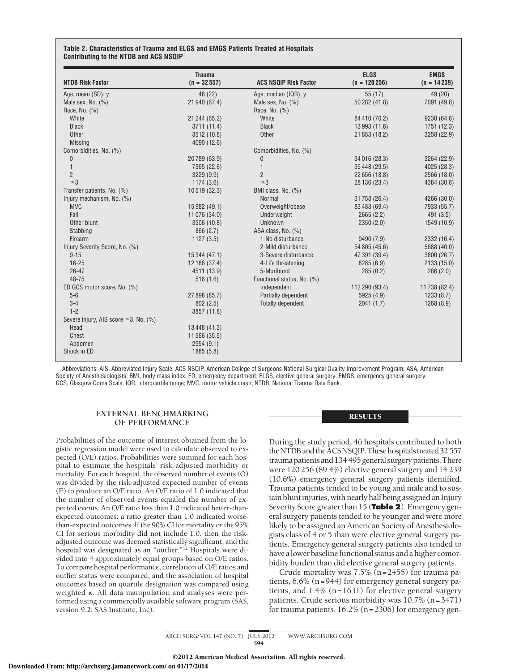#### **Table 2. Characteristics of Trauma and ELGS and EMGS Patients Treated at Hospitals Contributing to the NTDB and ACS NSQIP**

| <b>NTDB Risk Factor</b>              | <b>Trauma</b><br>$(n = 32557)$ | <b>ACS NSQIP Risk Factor</b> | <b>ELGS</b><br>$(n = 120256)$ | <b>EMGS</b><br>$(n = 14239)$ |
|--------------------------------------|--------------------------------|------------------------------|-------------------------------|------------------------------|
| Age, mean (SD), y                    | 48 (22)                        | Age, median (IQR), y         | 55 (17)                       | 49 (20)                      |
| Male sex, No. $(\%)$                 | 21 940 (67.4)                  | Male sex, No. $(\%)$         | 50 282 (41.8)                 | 7091 (49.8)                  |
| Race, No. (%)                        |                                | Race, No. (%)                |                               |                              |
| White                                | 21 244 (65.2)                  | White                        | 84 410 (70.2)                 | 9230 (64.8)                  |
| <b>Black</b>                         | 3711 (11.4)                    | <b>Black</b>                 | 13 993 (11.6)                 | 1751 (12.3)                  |
| Other                                | 3512 (10.8)                    | Other                        | 21 853 (18.2)                 | 3258 (22.9)                  |
| <b>Missing</b>                       | 4090 (12.6)                    |                              |                               |                              |
| Comorbidities, No. (%)               |                                | Comorbidities, No. (%)       |                               |                              |
| $\mathbf 0$                          | 20789 (63.9)                   | 0                            | 34 016 (28.3)                 | 3264 (22.9)                  |
| $\mathbf{1}$                         | 7365 (22.6)                    | $\mathbf{1}$                 | 35 448 (29.5)                 | 4025 (28.3)                  |
| $\overline{2}$                       | 3229 (9.9)                     | $\overline{2}$               | 22 656 (18.8)                 | 2566 (18.0)                  |
| $\geq 3$                             | 1174(3.6)                      | $\geq 3$                     | 28 136 (23.4)                 | 4384 (30.8)                  |
| Transfer patients, No. (%)           | 10 519 (32.3)                  | BMI class, No. (%)           |                               |                              |
| Injury mechanism, No. (%)            |                                | Normal                       | 31758 (26.4)                  | 4266 (30.0)                  |
| <b>MVC</b>                           | 15 982 (49.1)                  | Overweight/obese             | 83 483 (69.4)                 | 7933 (55.7)                  |
| Fall                                 | 11 076 (34.0)                  | Underweight                  | 2665(2.2)                     | 491(3.5)                     |
| Other blunt                          | 3506 (10.8)                    | <b>Unknown</b>               | 2350(2.0)                     | 1549 (10.9)                  |
| Stabbing                             | 866 (2.7)                      | ASA class, No. (%)           |                               |                              |
| Firearm                              | 1127(3.5)                      | 1-No disturbance             | 9490 (7.9)                    | 2332 (16.4)                  |
| Injury Severity Score, No. (%)       |                                | 2-Mild disturbance           | 54 805 (45.6)                 | 5688 (40.0)                  |
| $9 - 15$                             | 15 344 (47.1)                  | 3-Severe disturbance         | 47 391 (39.4)                 | 3800 (26.7)                  |
| $16 - 25$                            | 12 186 (37.4)                  | 4-Life threatening           | 8285(6.9)                     | 2133 (15.0)                  |
| $26 - 47$                            | 4511 (13.9)                    | 5-Moribund                   | 285(0.2)                      | 286(2.0)                     |
| 48-75                                | 516(1.6)                       | Functional status, No. (%)   |                               |                              |
| ED GCS motor score, No. (%)          |                                | Independent                  | 112 290 (93.4)                | 11738 (82.4)                 |
| $5-6$                                | 27 898 (85.7)                  | Partially dependent          | 5925 (4.9)                    | 1233(8.7)                    |
| $3 - 4$                              | 802(2.5)                       | <b>Totally dependent</b>     | 2041(1.7)                     | 1268(8.9)                    |
| $1 - 2$                              | 3857 (11.8)                    |                              |                               |                              |
| Severe injury, AIS score ≥3, No. (%) |                                |                              |                               |                              |
| Head                                 | 13 448 (41.3)                  |                              |                               |                              |
| Chest                                | 11 566 (35.5)                  |                              |                               |                              |
| Abdomen                              | 2954 (9.1)                     |                              |                               |                              |
| Shock in ED                          | 1885(5.8)                      |                              |                               |                              |

Abbreviations: AIS, Abbreviated Injury Scale; ACS NSQIP, American College of Surgeons National Surgical Quality Improvement Program; ASA, American Society of Anesthesiologists; BMI, body mass index; ED, emergency department; ELGS, elective general surgery; EMGS, emergency general surgery; GCS, Glasgow Coma Scale; IQR, interquartile range; MVC, motor vehicle crash; NTDB, National Trauma Data Bank.

#### **EXTERNAL BENCHMARKING OF PERFORMANCE**

Probabilities of the outcome of interest obtained from the logistic regression model were used to calculate observed to expected (O/E) ratios. Probabilities were summed for each hospital to estimate the hospitals' risk-adjusted morbidity or mortality. For each hospital, the observed number of events (O) was divided by the risk-adjusted expected number of events (E) to produce an O/E ratio. An O/E ratio of 1.0 indicated that the number of observed events equaled the number of expected events. An O/E ratio less than 1.0 indicated better-thanexpected outcomes; a ratio greater than 1.0 indicated worsethan-expected outcomes. If the 90% CI for mortality or the 95% CI for serious morbidity did not include 1.0, then the riskadjusted outcome was deemed statistically significant, and the hospital was designated as an "outlier."<sup>12</sup> Hospitals were divided into 4 approximately equal groups based on O/E ratios. To compare hospital performance, correlation of O/E ratios and outlier status were compared, and the association of hospital outcomes based on quartile designation was compared using weighted  $\kappa$ . All data manipulation and analyses were performed using a commercially available software program (SAS, version 9.2; SAS Institute, Inc).

**RESULTS** 

During the study period, 46 hospitals contributed to both the NTDB and the ACSNSQIP. These hospitals treated 32 557 trauma patients and 134 495general surgery patients.There were 120 256 (89.4%) elective general surgery and 14 239 (10.6%) emergency general surgery patients identified. Trauma patients tended to be young and male and to sustain blunt injuries, with nearly half being assigned an Injury Severity Score greater than 15 (**Table 2**). Emergency general surgery patients tended to be younger and were more likely to be assigned an American Society of Anesthesiologists class of 4 or 5 than were elective general surgery patients. Emergency general surgery patients also tended to have a lower baseline functional status and a higher comorbidity burden than did elective general surgery patients.

Crude mortality was 7.5% (n=2455) for trauma patients, 6.6% (n=944) for emergency general surgery patients, and 1.4% (n=1631) for elective general surgery patients. Crude serious morbidity was 10.7% (n=3471) for trauma patients, 16.2% (n=2306) for emergency gen-

ARCH SURG/ VOL 147 (NO. 7), JULY 2012 WWW.ARCHSURG.COM 594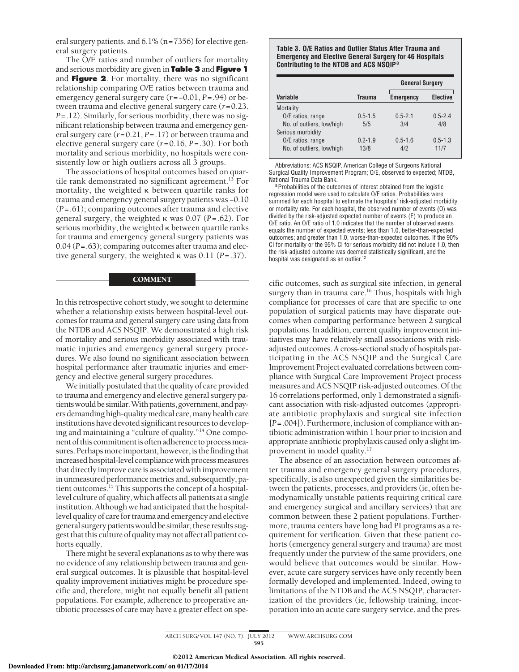eral surgery patients, and 6.1% (n=7356) for elective general surgery patients.

The O/E ratios and number of outliers for mortality and serious morbidity are given in **Table 3** and **Figure 1** and **Figure 2**. For mortality, there was no significant relationship comparing O/E ratios between trauma and emergency general surgery care (*r*=−0.01, *P*=.94) or between trauma and elective general surgery care (*r*=0.23, *P*=.12). Similarly, for serious morbidity, there was no significant relationship between trauma and emergency general surgery care (*r*=0.21, *P*=.17) or between trauma and elective general surgery care (*r*=0.16, *P*=.30). For both mortality and serious morbidity, no hospitals were consistently low or high outliers across all 3 groups.

The associations of hospital outcomes based on quartile rank demonstrated no significant agreement.<sup>13</sup> For mortality, the weighted **K** between quartile ranks for trauma and emergency general surgery patients was −0.10 (*P*=.61); comparing outcomes after trauma and elective general surgery, the weighted  $\kappa$  was 0.07 ( $P = .62$ ). For Serious morbidity, the weighted **k** between quartile ranks for trauma and emergency general surgery patients was 0.04 (*P*=.63); comparing outcomes after trauma and elective general surgery, the weighted  $\kappa$  was 0.11 (*P* = .37).

#### **COMMENT**

In this retrospective cohort study, we sought to determine whether a relationship exists between hospital-level outcomes for trauma and general surgery care using data from the NTDB and ACS NSQIP. We demonstrated a high risk of mortality and serious morbidity associated with traumatic injuries and emergency general surgery procedures. We also found no significant association between hospital performance after traumatic injuries and emergency and elective general surgery procedures.

We initially postulated that the quality of care provided to trauma and emergency and elective general surgery patients would be similar. With patients, government, and payers demanding high-qualitymedical care,many health care institutions have devoted significant resources to developing and maintaining a "culture of quality."<sup>14</sup> One component of this commitment is often adherence to process measures. Perhaps more important, however, is the finding that increased hospital-level compliance with process measures that directly improve care is associated with improvement in unmeasured performance metrics and, subsequently, patient outcomes.<sup>15</sup> This supports the concept of a hospitallevel culture of quality, which affects all patients at a single institution. Although we had anticipated that the hospitallevel quality of care for trauma and emergency and elective general surgery patientswould be similar, these results suggest that this culture of qualitymay not affect all patient cohorts equally.

There might be several explanations as to why there was no evidence of any relationship between trauma and general surgical outcomes. It is plausible that hospital-level quality improvement initiatives might be procedure specific and, therefore, might not equally benefit all patient populations. For example, adherence to preoperative antibiotic processes of care may have a greater effect on spe-

#### **Table 3. O/E Ratios and Outlier Status After Trauma and Emergency and Elective General Surgery for 46 Hospitals Contributing to the NTDB and ACS NSQIP<sup>a</sup>**

|                           |             |                  | <b>General Surgery</b> |  |  |
|---------------------------|-------------|------------------|------------------------|--|--|
| Variable                  | Trauma      | <b>Emergency</b> | <b>Elective</b>        |  |  |
| Mortality                 |             |                  |                        |  |  |
| O/E ratios, range         | $0.5 - 1.5$ | $0.5 - 2.1$      | $0.5 - 2.4$            |  |  |
| No. of outliers, low/high | 5/5         | 3/4              | 4/8                    |  |  |
| Serious morbidity         |             |                  |                        |  |  |
| O/E ratios, range         | $0.2 - 1.9$ | $0.5 - 1.6$      | $0.5 - 1.3$            |  |  |
| No. of outliers, low/high | 13/8        | 4/2              | 11/7                   |  |  |

Abbreviations: ACS NSQIP, American College of Surgeons National Surgical Quality Improvement Program; O/E, observed to expected; NTDB, National Trauma Data Bank.

a Probabilities of the outcomes of interest obtained from the logistic regression model were used to calculate O/E ratios. Probabilities were summed for each hospital to estimate the hospitals' risk-adjusted morbidity or mortality rate. For each hospital, the observed number of events (O) was divided by the risk-adjusted expected number of events (E) to produce an O/E ratio. An O/E ratio of 1.0 indicates that the number of observed events equals the number of expected events; less than 1.0, better-than-expected outcomes; and greater than 1.0, worse-than-expected outcomes. If the 90% CI for mortality or the 95% CI for serious morbidity did not include 1.0, then the risk-adjusted outcome was deemed statistically significant, and the hospital was designated as an outlier.<sup>12</sup>

cific outcomes, such as surgical site infection, in general surgery than in trauma care.<sup>16</sup> Thus, hospitals with high compliance for processes of care that are specific to one population of surgical patients may have disparate outcomes when comparing performance between 2 surgical populations. In addition, current quality improvement initiatives may have relatively small associations with riskadjusted outcomes. A cross-sectional study of hospitals participating in the ACS NSQIP and the Surgical Care Improvement Project evaluated correlations between compliance with Surgical Care Improvement Project process measures and ACS NSQIP risk-adjusted outcomes. Of the 16 correlations performed, only 1 demonstrated a significant association with risk-adjusted outcomes (appropriate antibiotic prophylaxis and surgical site infection [*P*=.004]). Furthermore, inclusion of compliance with antibiotic administration within 1 hour prior to incision and appropriate antibiotic prophylaxis caused only a slight improvement in model quality.<sup>17</sup>

The absence of an association between outcomes after trauma and emergency general surgery procedures, specifically, is also unexpected given the similarities between the patients, processes, and providers (ie, often hemodynamically unstable patients requiring critical care and emergency surgical and ancillary services) that are common between these 2 patient populations. Furthermore, trauma centers have long had PI programs as a requirement for verification. Given that these patient cohorts (emergency general surgery and trauma) are most frequently under the purview of the same providers, one would believe that outcomes would be similar. However, acute care surgery services have only recently been formally developed and implemented. Indeed, owing to limitations of the NTDB and the ACS NSQIP, characterization of the providers (ie, fellowship training, incorporation into an acute care surgery service, and the pres-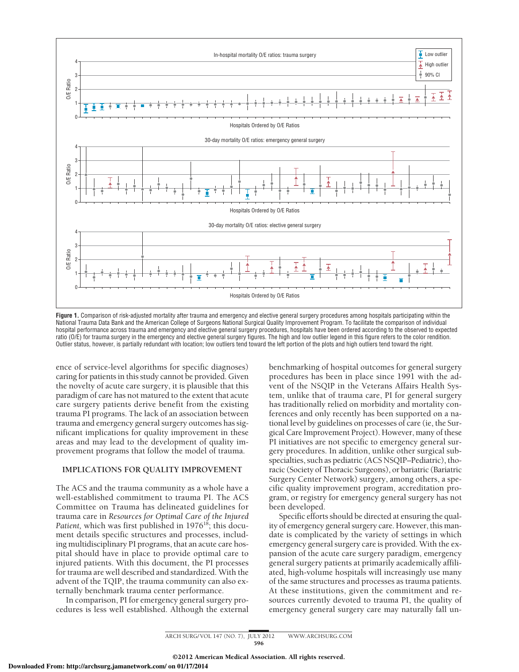

**Figure 1.** Comparison of risk-adjusted mortality after trauma and emergency and elective general surgery procedures among hospitals participating within the National Trauma Data Bank and the American College of Surgeons National Surgical Quality Improvement Program. To facilitate the comparison of individual hospital performance across trauma and emergency and elective general surgery procedures, hospitals have been ordered according to the observed to expected ratio (O/E) for trauma surgery in the emergency and elective general surgery figures. The high and low outlier legend in this figure refers to the color rendition. Outlier status, however, is partially redundant with location; low outliers tend toward the left portion of the plots and high outliers tend toward the right.

ence of service-level algorithms for specific diagnoses) caring for patients in this study cannot be provided. Given the novelty of acute care surgery, it is plausible that this paradigm of care has not matured to the extent that acute care surgery patients derive benefit from the existing trauma PI programs. The lack of an association between trauma and emergency general surgery outcomes has significant implications for quality improvement in these areas and may lead to the development of quality improvement programs that follow the model of trauma.

#### **IMPLICATIONS FOR QUALITY IMPROVEMENT**

The ACS and the trauma community as a whole have a well-established commitment to trauma PI. The ACS Committee on Trauma has delineated guidelines for trauma care in *Resources for Optimal Care of the Injured* Patient, which was first published in 1976<sup>18</sup>; this document details specific structures and processes, including multidisciplinary PI programs, that an acute care hospital should have in place to provide optimal care to injured patients. With this document, the PI processes for trauma are well described and standardized. With the advent of the TQIP, the trauma community can also externally benchmark trauma center performance.

In comparison, PI for emergency general surgery procedures is less well established. Although the external

benchmarking of hospital outcomes for general surgery procedures has been in place since 1991 with the advent of the NSQIP in the Veterans Affairs Health System, unlike that of trauma care, PI for general surgery has traditionally relied on morbidity and mortality conferences and only recently has been supported on a national level by guidelines on processes of care (ie, the Surgical Care Improvement Project). However, many of these PI initiatives are not specific to emergency general surgery procedures. In addition, unlike other surgical subspecialties, such as pediatric (ACS NSQIP–Pediatric), thoracic (Society of Thoracic Surgeons), or bariatric (Bariatric Surgery Center Network) surgery, among others, a specific quality improvement program, accreditation program, or registry for emergency general surgery has not been developed.

Specific efforts should be directed at ensuring the quality of emergency general surgery care. However, this mandate is complicated by the variety of settings in which emergency general surgery care is provided. With the expansion of the acute care surgery paradigm, emergency general surgery patients at primarily academically affiliated, high-volume hospitals will increasingly use many of the same structures and processes as trauma patients. At these institutions, given the commitment and resources currently devoted to trauma PI, the quality of emergency general surgery care may naturally fall un-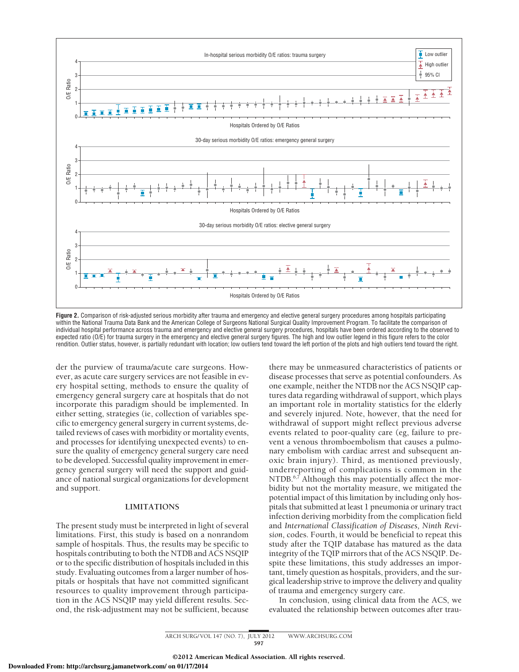

**Figure 2.** Comparison of risk-adjusted serious morbidity after trauma and emergency and elective general surgery procedures among hospitals participating within the National Trauma Data Bank and the American College of Surgeons National Surgical Quality Improvement Program. To facilitate the comparison of individual hospital performance across trauma and emergency and elective general surgery procedures, hospitals have been ordered according to the observed to expected ratio (O/E) for trauma surgery in the emergency and elective general surgery figures. The high and low outlier legend in this figure refers to the color rendition. Outlier status, however, is partially redundant with location; low outliers tend toward the left portion of the plots and high outliers tend toward the right.

der the purview of trauma/acute care surgeons. However, as acute care surgery services are not feasible in every hospital setting, methods to ensure the quality of emergency general surgery care at hospitals that do not incorporate this paradigm should be implemented. In either setting, strategies (ie, collection of variables specific to emergency general surgery in current systems, detailed reviews of cases with morbidity or mortality events, and processes for identifying unexpected events) to ensure the quality of emergency general surgery care need to be developed. Successful quality improvement in emergency general surgery will need the support and guidance of national surgical organizations for development and support.

#### **LIMITATIONS**

The present study must be interpreted in light of several limitations. First, this study is based on a nonrandom sample of hospitals. Thus, the results may be specific to hospitals contributing to both the NTDB and ACS NSQIP or to the specific distribution of hospitals included in this study. Evaluating outcomes from a larger number of hospitals or hospitals that have not committed significant resources to quality improvement through participation in the ACS NSQIP may yield different results. Second, the risk-adjustment may not be sufficient, because

there may be unmeasured characteristics of patients or disease processes that serve as potential confounders. As one example, neither the NTDB nor the ACS NSQIP captures data regarding withdrawal of support, which plays an important role in mortality statistics for the elderly and severely injured. Note, however, that the need for withdrawal of support might reflect previous adverse events related to poor-quality care (eg, failure to prevent a venous thromboembolism that causes a pulmonary embolism with cardiac arrest and subsequent anoxic brain injury). Third, as mentioned previously, underreporting of complications is common in the NTDB.<sup>6,7</sup> Although this may potentially affect the morbidity but not the mortality measure, we mitigated the potential impact of this limitation by including only hospitals that submitted at least 1 pneumonia or urinary tract infection deriving morbidity from the complication field and *International Classification of Diseases, Ninth Revision*, codes. Fourth, it would be beneficial to repeat this study after the TQIP database has matured as the data integrity of the TQIP mirrors that of the ACS NSQIP. Despite these limitations, this study addresses an important, timely question as hospitals, providers, and the surgical leadership strive to improve the delivery and quality of trauma and emergency surgery care.

In conclusion, using clinical data from the ACS, we evaluated the relationship between outcomes after trau